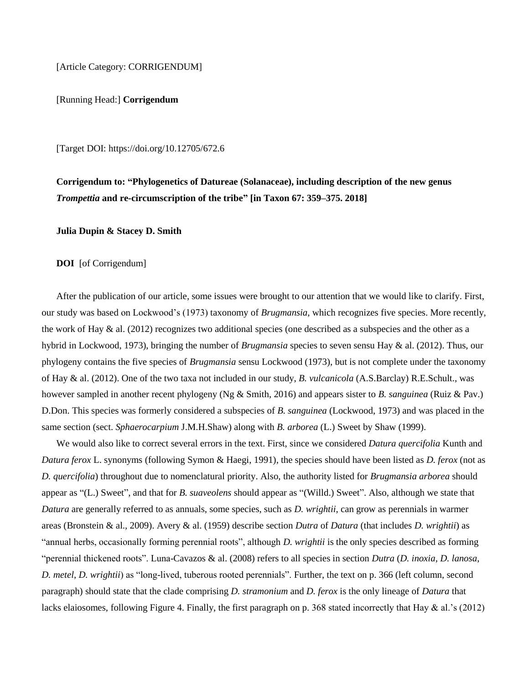[Article Category: CORRIGENDUM]

[Running Head:] **Corrigendum**

[Target DOI:<https://doi.org/10.12705/672.6>

**Corrigendum to: "Phylogenetics of Datureae (Solanaceae), including description of the new genus**  *Trompettia* **and re-circumscription of the tribe" [in Taxon 67: 359–375. 2018]**

**Julia Dupin & Stacey D. Smith**

**DOI** [of Corrigendum]

After the publication of our article, some issues were brought to our attention that we would like to clarify. First, our study was based on Lockwood's (1973) taxonomy of *Brugmansia*, which recognizes five species. More recently, the work of Hay  $\&$  al. (2012) recognizes two additional species (one described as a subspecies and the other as a hybrid in Lockwood, 1973), bringing the number of *Brugmansia* species to seven sensu Hay & al. (2012). Thus, our phylogeny contains the five species of *Brugmansia* sensu Lockwood (1973), but is not complete under the taxonomy of Hay & al. (2012). One of the two taxa not included in our study, *B. vulcanicola* (A.S.Barclay) R.E.Schult., was however sampled in another recent phylogeny (Ng & Smith, 2016) and appears sister to *B. sanguinea* (Ruiz & Pav.) D.Don. This species was formerly considered a subspecies of *B. sanguinea* (Lockwood, 1973) and was placed in the same section (sect. *Sphaerocarpium* J.M.H.Shaw) along with *B. arborea* (L.) Sweet by Shaw (1999).

We would also like to correct several errors in the text. First, since we considered *Datura quercifolia* Kunth and *Datura ferox* L. synonyms (following Symon & Haegi, 1991), the species should have been listed as *D. ferox* (not as *D. quercifolia*) throughout due to nomenclatural priority. Also, the authority listed for *Brugmansia arborea* should appear as "(L.) Sweet", and that for *B. suaveolens* should appear as "(Willd.) Sweet". Also, although we state that *Datura* are generally referred to as annuals, some species, such as *D. wrightii*, can grow as perennials in warmer areas (Bronstein & al., 2009). Avery & al. (1959) describe section *Dutra* of *Datura* (that includes *D. wrightii*) as "annual herbs, occasionally forming perennial roots", although *D. wrightii* is the only species described as forming "perennial thickened roots". Luna-Cavazos & al. (2008) refers to all species in section *Dutra* (*D. inoxia*, *D. lanosa*, *D. metel*, *D. wrightii*) as "long-lived, tuberous rooted perennials". Further, the text on p. 366 (left column, second paragraph) should state that the clade comprising *D. stramonium* and *D. ferox* is the only lineage of *Datura* that lacks elaiosomes, following Figure 4. Finally, the first paragraph on p. 368 stated incorrectly that Hay & al.'s (2012)